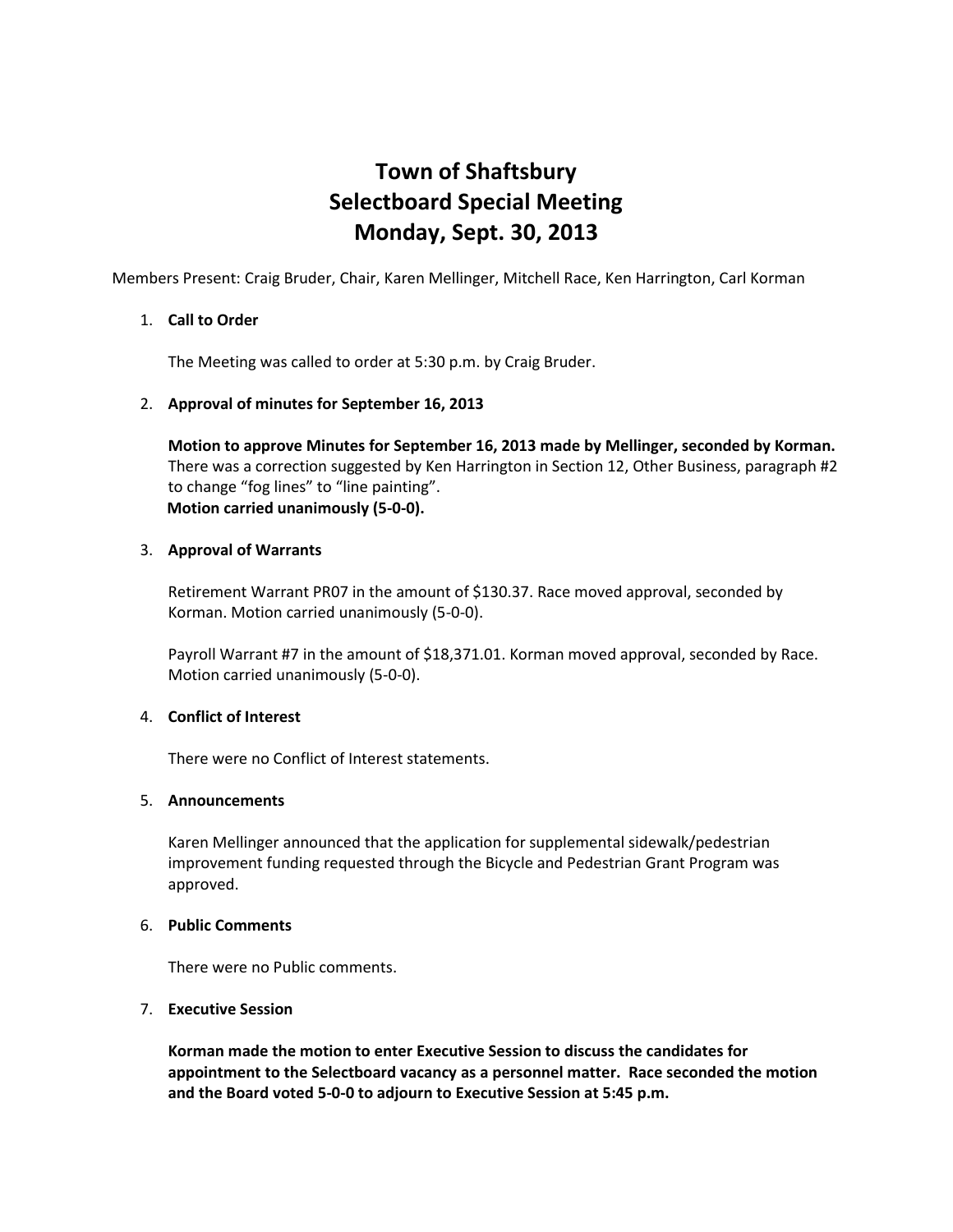# **Town of Shaftsbury Selectboard Special Meeting Monday, Sept. 30, 2013**

Members Present: Craig Bruder, Chair, Karen Mellinger, Mitchell Race, Ken Harrington, Carl Korman

## 1. **Call to Order**

The Meeting was called to order at 5:30 p.m. by Craig Bruder.

#### 2. **Approval of minutes for September 16, 2013**

**Motion to approve Minutes for September 16, 2013 made by Mellinger, seconded by Korman.**  There was a correction suggested by Ken Harrington in Section 12, Other Business, paragraph #2 to change "fog lines" to "line painting". **Motion carried unanimously (5-0-0).**

#### 3. **Approval of Warrants**

Retirement Warrant PR07 in the amount of \$130.37. Race moved approval, seconded by Korman. Motion carried unanimously (5-0-0).

Payroll Warrant #7 in the amount of \$18,371.01. Korman moved approval, seconded by Race. Motion carried unanimously (5-0-0).

## 4. **Conflict of Interest**

There were no Conflict of Interest statements.

#### 5. **Announcements**

Karen Mellinger announced that the application for supplemental sidewalk/pedestrian improvement funding requested through the Bicycle and Pedestrian Grant Program was approved.

#### 6. **Public Comments**

There were no Public comments.

## 7. **Executive Session**

**Korman made the motion to enter Executive Session to discuss the candidates for appointment to the Selectboard vacancy as a personnel matter. Race seconded the motion and the Board voted 5-0-0 to adjourn to Executive Session at 5:45 p.m.**